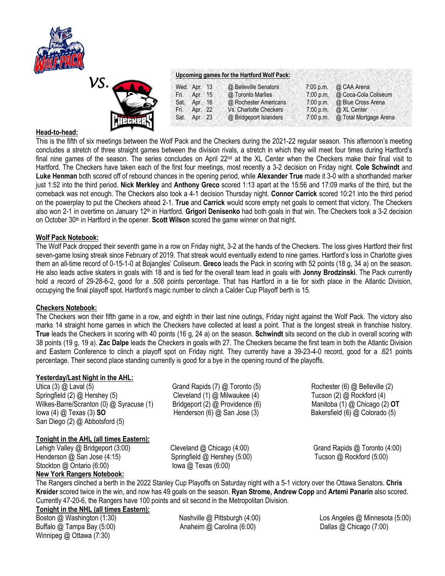



### **Upcoming games for the Hartford Wolf Pack:**

|      | Wed. Apr. 13 | @ Belleville Senators  | 7:00 p.m. | @ CAA Arena                      |
|------|--------------|------------------------|-----------|----------------------------------|
| Fri. | Apr. 15      | @ Toronto Marlies      | 7:00 p.m. | @ Coca-Cola Coliseum             |
|      | Sat. Apr. 16 | @ Rochester Americans  | 7:00 p.m. | @ Blue Cross Arena               |
| Fri. | Apr. 22      | Vs. Charlotte Checkers | 7:00 p.m. | @ XL Center                      |
|      | Sat. Apr. 23 | @ Bridgeport Islanders |           | 7:00 p.m. @ Total Mortgage Arena |

## **Head-to-head:**

This is the fifth of six meetings between the Wolf Pack and the Checkers during the 2021-22 regular season. This afternoon's meeting concludes a stretch of three straight games between the division rivals, a stretch in which they will meet four times during Hartford's final nine games of the season. The series concludes on April 22<sup>nd</sup> at the XL Center when the Checkers make their final visit to Hartford. The Checkers have taken each of the first four meetings, most recently a 3-2 decision on Friday night. **Cole Schwindt** and **Luke Henman** both scored off of rebound chances in the opening period, while **Alexander True** made it 3-0 with a shorthanded marker just 1:52 into the third period. **Nick Merkley** and **Anthony Greco** scored 1:13 apart at the 15:56 and 17:09 marks of the third, but the comeback was not enough. The Checkers also took a 4-1 decision Thursday night. **Connor Carrick** scored 10:21 into the third period on the powerplay to put the Checkers ahead 2-1. **True** and **Carrick** would score empty net goals to cement that victory. The Checkers also won 2-1 in overtime on January 12th in Hartford. **Grigori Denisenko** had both goals in that win. The Checkers took a 3-2 decision on October 30th in Hartford in the opener. **Scott Wilson** scored the game winner on that night.

### **Wolf Pack Notebook:**

The Wolf Pack dropped their seventh game in a row on Friday night, 3-2 at the hands of the Checkers. The loss gives Hartford their first seven-game losing streak since February of 2019. That streak would eventually extend to nine games. Hartford's loss in Charlotte gives them an all-time record of 0-15-1-0 at Bojangles' Coliseum. **Greco** leads the Pack in scoring with 52 points (18 g, 34 a) on the season. He also leads active skaters in goals with 18 and is tied for the overall team lead in goals with **Jonny Brodzinski**. The Pack currently hold a record of 29-28-6-2, good for a .508 points percentage. That has Hartford in a tie for sixth place in the Atlantic Division, occupying the final playoff spot. Hartford's magic number to clinch a Calder Cup Playoff berth is 15.

### **Checkers Notebook:**

The Checkers won their fifth game in a row, and eighth in their last nine outings, Friday night against the Wolf Pack. The victory also marks 14 straight home games in which the Checkers have collected at least a point. That is the longest streak in franchise history. **True** leads the Checkers in scoring with 40 points (16 g, 24 a) on the season. **Schwindt** sits second on the club in overall scoring with 38 points (19 g, 19 a). **Zac Dalpe** leads the Checkers in goals with 27. The Checkers became the first team in both the Atlantic Division and Eastern Conference to clinch a playoff spot on Friday night. They currently have a 39-23-4-0 record, good for a .621 points percentage. Their second place standing currently is good for a bye in the opening round of the playoffs.

# **Yesterday/Last Night in the AHL:**

Utica (3) @ Laval (5) *Grand Rapids (7) @ Toronto (5)* Rochester (6) @ Belleville (2) Springfield (2) @ Hershey (5) Cleveland (1) @ Milwaukee (4) Tucson (2) @ Rockford (4) Wilkes-Barre/Scranton (0) @ Syracuse (1) Bridgeport (2) @ Providence (6) Manitoba (1) @ Chicago (2) **OT** Iowa (4) @ Texas (3) **SO** Henderson (6) @ San Jose (3) Bakersfield (6) @ Colorado (5) San Diego (2) @ Abbotsford (5)

### **Tonight in the AHL (all times Eastern):**

Lehigh Valley @ Bridgeport (3:00) Cleveland @ Chicago (4:00) Grand Rapids @ Toronto (4:00) Henderson @ San Jose (4:15) Springfield @ Hershey (5:00) Tucson @ Rockford (5:00) Stockton @ Ontario (6:00) Iowa @ Texas (6:00) **New York Rangers Notebook:**

The Rangers clinched a berth in the 2022 Stanley Cup Playoffs on Saturday night with a 5-1 victory over the Ottawa Senators. **Chris Kreider** scored twice in the win, and now has 49 goals on the season. **Ryan Strome, Andrew Copp** and **Artemi Panarin** also scored. Currently 47-20-6, the Rangers have 100 points and sit second in the Metropolitan Division.

# **Tonight in the NHL (all times Eastern):**

Winnipeg @ Ottawa (7:30)

Buffalo @ Tampa Bay (5:00)  $\blacksquare$  Anaheim @ Carolina (6:00)  $\blacksquare$  Dallas @ Chicago (7:00)

Boston @ Washington (1:30) Nashville @ Pittsburgh (4:00) Cos Angeles @ Minnesota (5:00)